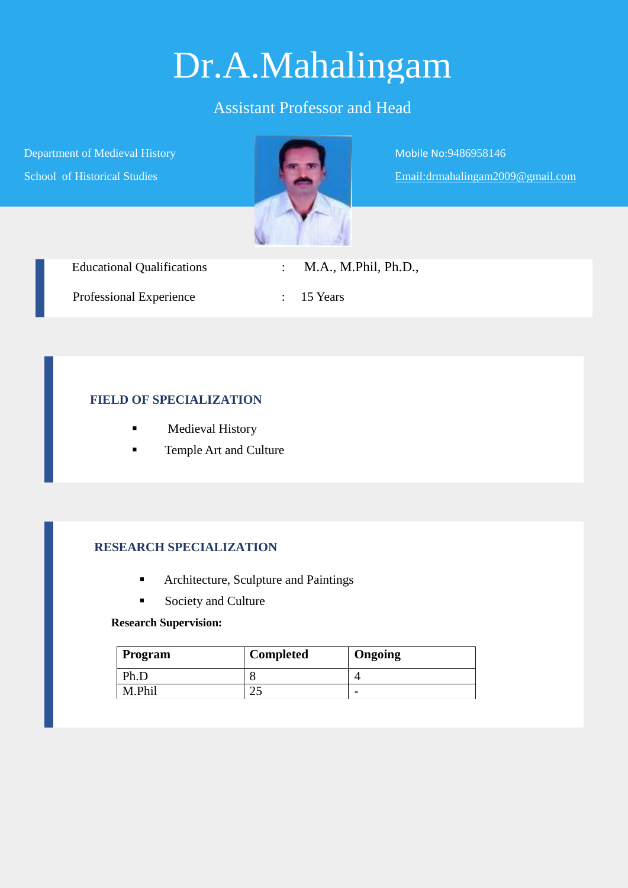# Dr.A.Mahalingam

## Assistant Professor and Head

Department of Medieval History School of Historical Studies



Mobile No:9486958146 Email:drmahalingam2009@gmail.com

| <b>Educational Qualifications</b> | M.A., M.Phil, Ph.D.,  |
|-----------------------------------|-----------------------|
| Professional Experience           | $\therefore$ 15 Years |

### **FIELD OF SPECIALIZATION**

- **Medieval History**
- Temple Art and Culture

## **RESEARCH SPECIALIZATION**

- **Architecture, Sculpture and Paintings**
- Society and Culture

#### **Research Supervision:**

| <b>Program</b> | <b>Completed</b> | Ongoing |
|----------------|------------------|---------|
| Ph.D           |                  |         |
| M Phil         |                  |         |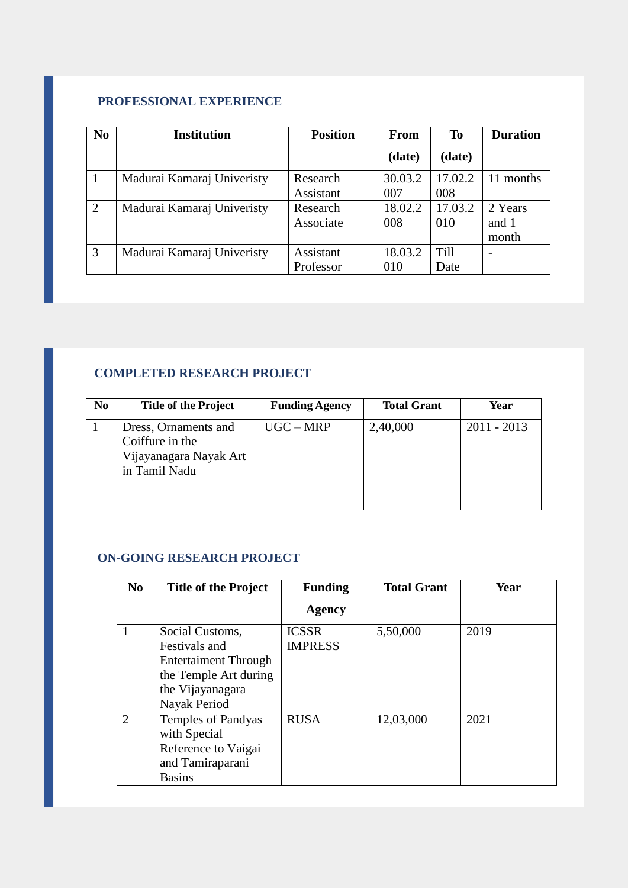## **PROFESSIONAL EXPERIENCE**

| N <sub>0</sub> | <b>Institution</b>         | <b>Position</b> | <b>From</b> | <b>To</b>   | <b>Duration</b> |
|----------------|----------------------------|-----------------|-------------|-------------|-----------------|
|                |                            |                 | (date)      | (date)      |                 |
|                | Madurai Kamaraj Univeristy | Research        | 30.03.2     | 17.02.2     | 11 months       |
|                |                            | Assistant       | 007         | 008         |                 |
| 2              | Madurai Kamaraj Univeristy | Research        | 18.02.2     | 17.03.2     | 2 Years         |
|                |                            | Associate       | 008         | 010         | and 1           |
|                |                            |                 |             |             | month           |
| 3              | Madurai Kamaraj Univeristy | Assistant       | 18.03.2     | <b>Till</b> |                 |
|                |                            | Professor       | 010         | Date        |                 |

## **COMPLETED RESEARCH PROJECT**

| N <sub>0</sub> | <b>Title of the Project</b>                                                        | <b>Funding Agency</b> | <b>Total Grant</b> | Year          |
|----------------|------------------------------------------------------------------------------------|-----------------------|--------------------|---------------|
|                | Dress, Ornaments and<br>Coiffure in the<br>Vijayanagara Nayak Art<br>in Tamil Nadu | $UGC-MRP$             | 2,40,000           | $2011 - 2013$ |
|                |                                                                                    |                       |                    |               |

#### **ON-GOING RESEARCH PROJECT**

| N <sub>0</sub>              | <b>Title of the Project</b>                                                                                                  | <b>Funding</b>                 | <b>Total Grant</b> | Year |
|-----------------------------|------------------------------------------------------------------------------------------------------------------------------|--------------------------------|--------------------|------|
|                             |                                                                                                                              | Agency                         |                    |      |
|                             | Social Customs,<br>Festivals and<br><b>Entertaiment Through</b><br>the Temple Art during<br>the Vijayanagara<br>Nayak Period | <b>ICSSR</b><br><b>IMPRESS</b> | 5,50,000           | 2019 |
| $\mathcal{D}_{\mathcal{L}}$ | <b>Temples of Pandyas</b><br>with Special<br>Reference to Vaigai<br>and Tamiraparani<br><b>Basins</b>                        | <b>RUSA</b>                    | 12,03,000          | 2021 |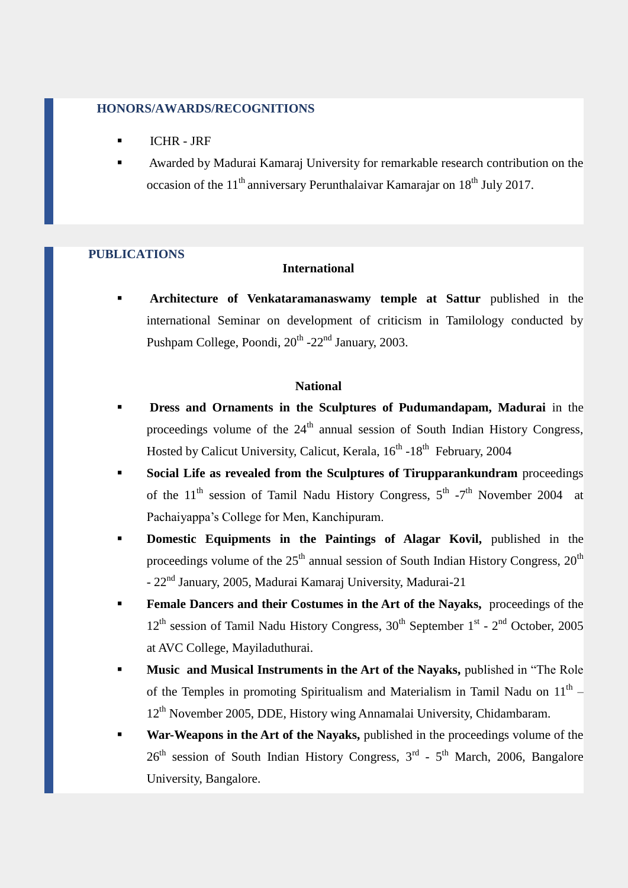#### **HONORS/AWARDS/RECOGNITIONS**

- ICHR JRF
- Awarded by Madurai Kamaraj University for remarkable research contribution on the occasion of the  $11<sup>th</sup>$  anniversary Perunthalaivar Kamarajar on  $18<sup>th</sup>$  July 2017.

#### **PUBLICATIONS**

#### **International**

 **Architecture of Venkataramanaswamy temple at Sattur** published in the international Seminar on development of criticism in Tamilology conducted by Pushpam College, Poondi, 20<sup>th</sup> -22<sup>nd</sup> January, 2003.

#### **National**

- **Dress and Ornaments in the Sculptures of Pudumandapam, Madurai** in the proceedings volume of the  $24<sup>th</sup>$  annual session of South Indian History Congress, Hosted by Calicut University, Calicut, Kerala, 16<sup>th</sup> -18<sup>th</sup> February, 2004
- **Social Life as revealed from the Sculptures of Tirupparankundram** proceedings of the  $11<sup>th</sup>$  session of Tamil Nadu History Congress,  $5<sup>th</sup>$  -7<sup>th</sup> November 2004 at Pachaiyappa's College for Men, Kanchipuram.
- **Domestic Equipments in the Paintings of Alagar Kovil,** published in the proceedings volume of the  $25<sup>th</sup>$  annual session of South Indian History Congress,  $20<sup>th</sup>$ - 22nd January, 2005, Madurai Kamaraj University, Madurai-21
- **Female Dancers and their Costumes in the Art of the Nayaks,** proceedings of the 12<sup>th</sup> session of Tamil Nadu History Congress, 30<sup>th</sup> September 1<sup>st</sup> - 2<sup>nd</sup> October, 2005 at AVC College, Mayiladuthurai.
- **Music and Musical Instruments in the Art of the Nayaks,** published in "The Role of the Temples in promoting Spiritualism and Materialism in Tamil Nadu on  $11<sup>th</sup>$  – 12<sup>th</sup> November 2005, DDE, History wing Annamalai University, Chidambaram.
- **War-Weapons in the Art of the Nayaks,** published in the proceedings volume of the  $26<sup>th</sup>$  session of South Indian History Congress,  $3<sup>rd</sup>$  -  $5<sup>th</sup>$  March, 2006, Bangalore University, Bangalore.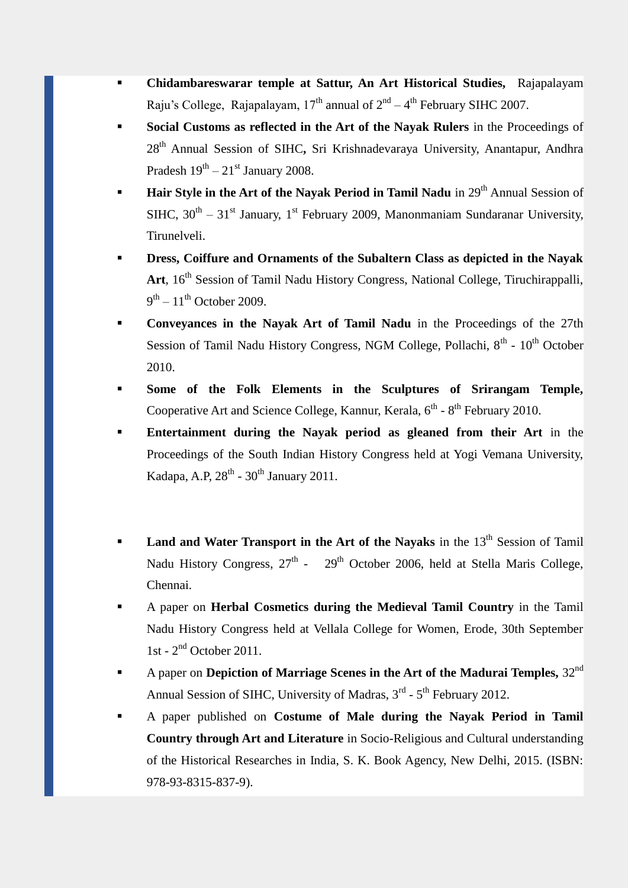- **Chidambareswarar temple at Sattur, An Art Historical Studies,** Rajapalayam Raju's College, Rajapalayam,  $17<sup>th</sup>$  annual of  $2<sup>nd</sup> - 4<sup>th</sup>$  February SIHC 2007.
- **Social Customs as reflected in the Art of the Nayak Rulers** in the Proceedings of 28th Annual Session of SIHC**,** Sri Krishnadevaraya University, Anantapur, Andhra Pradesh  $19^{th} - 21^{st}$  January 2008.
- **Hair Style in the Art of the Nayak Period in Tamil Nadu** in 29<sup>th</sup> Annual Session of SIHC,  $30^{th} - 31^{st}$  January, 1<sup>st</sup> February 2009, Manonmaniam Sundaranar University, Tirunelveli.
- **Dress, Coiffure and Ornaments of the Subaltern Class as depicted in the Nayak**  Art, 16<sup>th</sup> Session of Tamil Nadu History Congress, National College, Tiruchirappalli,  $9<sup>th</sup> - 11<sup>th</sup>$  October 2009.
- **Conveyances in the Nayak Art of Tamil Nadu** in the Proceedings of the 27th Session of Tamil Nadu History Congress, NGM College, Pollachi, 8<sup>th</sup> - 10<sup>th</sup> October 2010.
- **Some of the Folk Elements in the Sculptures of Srirangam Temple,**  Cooperative Art and Science College, Kannur, Kerala,  $6<sup>th</sup>$  -  $8<sup>th</sup>$  February 2010.
- **Entertainment during the Nayak period as gleaned from their Art** in the Proceedings of the South Indian History Congress held at Yogi Vemana University, Kadapa, A.P, 28<sup>th</sup> - 30<sup>th</sup> January 2011.
- Land and Water Transport in the Art of the Nayaks in the 13<sup>th</sup> Session of Tamil Nadu History Congress, 27<sup>th</sup> - 29<sup>th</sup> October 2006, held at Stella Maris College, Chennai.
- A paper on **Herbal Cosmetics during the Medieval Tamil Country** in the Tamil Nadu History Congress held at Vellala College for Women, Erode, 30th September 1st - 2 nd October 2011.
- A paper on **Depiction of Marriage Scenes in the Art of the Madurai Temples,** 32nd Annual Session of SIHC, University of Madras, 3<sup>rd</sup> - 5<sup>th</sup> February 2012.
- A paper published on **Costume of Male during the Nayak Period in Tamil Country through Art and Literature** in Socio-Religious and Cultural understanding of the Historical Researches in India, S. K. Book Agency, New Delhi, 2015. (ISBN: 978-93-8315-837-9).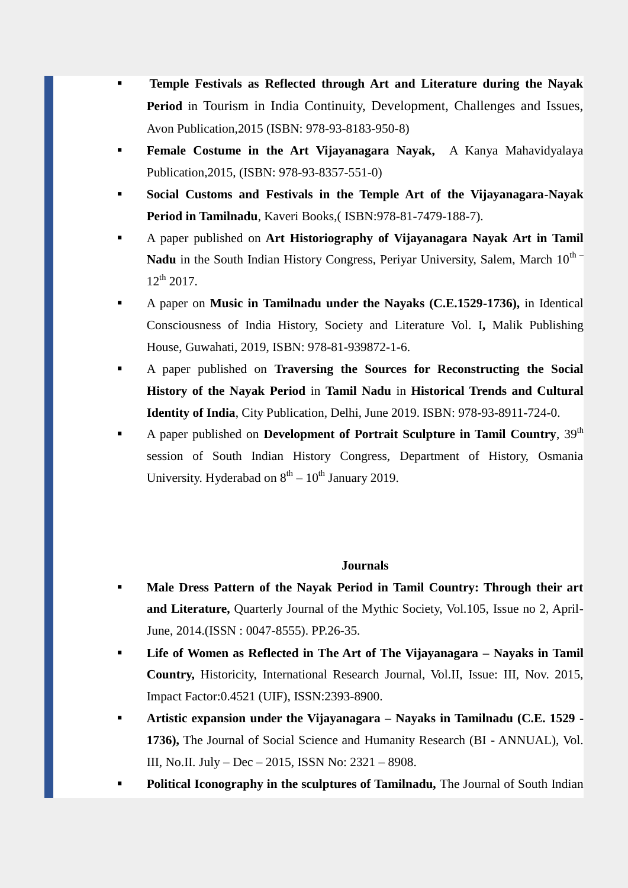- **Temple Festivals as Reflected through Art and Literature during the Nayak Period** in Tourism in India Continuity, Development, Challenges and Issues, Avon Publication,2015 (ISBN: 978-93-8183-950-8)
- **Female Costume in the Art Vijayanagara Nayak,** A Kanya Mahavidyalaya Publication,2015, (ISBN: 978-93-8357-551-0)
- **Social Customs and Festivals in the Temple Art of the Vijayanagara-Nayak Period in Tamilnadu**, Kaveri Books,( ISBN:978-81-7479-188-7).
- A paper published on **Art Historiography of Vijayanagara Nayak Art in Tamil**  Nadu in the South Indian History Congress, Periyar University, Salem, March 10<sup>th –</sup>  $12^{th}$  2017.
- A paper on **Music in Tamilnadu under the Nayaks (C.E.1529-1736),** in Identical Consciousness of India History, Society and Literature Vol. I**,** Malik Publishing House, Guwahati, 2019, ISBN: 978-81-939872-1-6.
- A paper published on **Traversing the Sources for Reconstructing the Social History of the Nayak Period** in **Tamil Nadu** in **Historical Trends and Cultural Identity of India**, City Publication, Delhi, June 2019. ISBN: 978-93-8911-724-0.
- A paper published on **Development of Portrait Sculpture in Tamil Country**, 39th session of South Indian History Congress, Department of History, Osmania University. Hyderabad on  $8<sup>th</sup> - 10<sup>th</sup>$  January 2019.

#### **Journals**

- **Male Dress Pattern of the Nayak Period in Tamil Country: Through their art and Literature,** Quarterly Journal of the Mythic Society, Vol.105, Issue no 2, April-June, 2014.(ISSN : 0047-8555). PP.26-35.
- **Life of Women as Reflected in The Art of The Vijayanagara – Nayaks in Tamil Country,** Historicity, International Research Journal, Vol.II, Issue: III, Nov. 2015, Impact Factor:0.4521 (UIF), ISSN:2393-8900.
- **Artistic expansion under the Vijayanagara – Nayaks in Tamilnadu (C.E. 1529 - 1736),** The Journal of Social Science and Humanity Research (BI - ANNUAL), Vol. III, No.II. July – Dec – 2015, ISSN No: 2321 – 8908.
- **Political Iconography in the sculptures of Tamilnadu,** The Journal of South Indian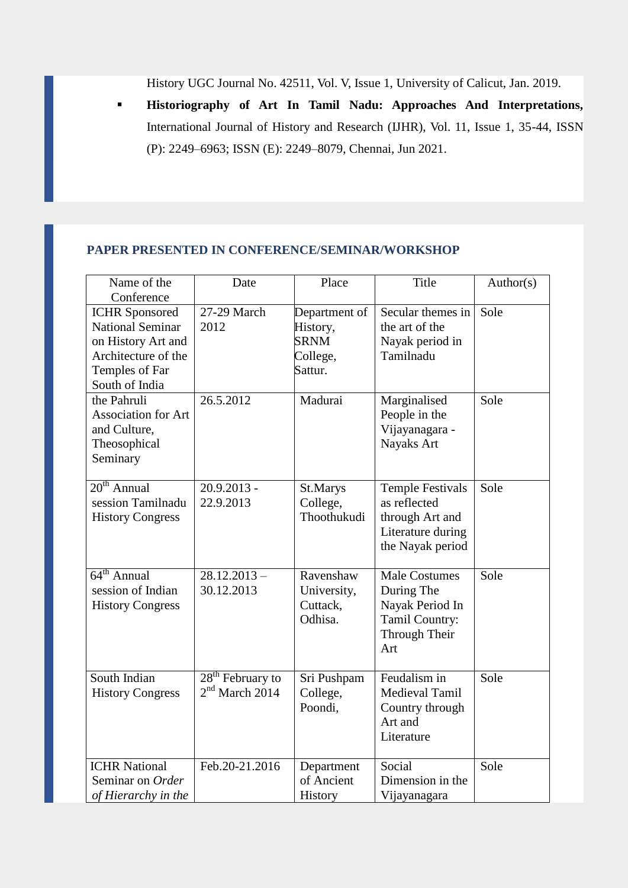History UGC Journal No. 42511, Vol. V, Issue 1, University of Calicut, Jan. 2019.

 **Historiography of Art In Tamil Nadu: Approaches And Interpretations,**  International Journal of History and Research (IJHR), Vol. 11, Issue 1, 35-44, ISSN (P): 2249–6963; ISSN (E): 2249–8079, Chennai, Jun 2021.

#### **PAPER PRESENTED IN CONFERENCE/SEMINAR/WORKSHOP**

| Name of the<br>Conference                                                                                                         | Date                                   | Place                                                           | Title                                                                                               | Author(s) |
|-----------------------------------------------------------------------------------------------------------------------------------|----------------------------------------|-----------------------------------------------------------------|-----------------------------------------------------------------------------------------------------|-----------|
| <b>ICHR</b> Sponsored<br><b>National Seminar</b><br>on History Art and<br>Architecture of the<br>Temples of Far<br>South of India | 27-29 March<br>2012                    | Department of<br>History,<br><b>SRNM</b><br>College,<br>Sattur. | Secular themes in<br>the art of the<br>Nayak period in<br>Tamilnadu                                 | Sole      |
| the Pahruli<br><b>Association for Art</b><br>and Culture,<br>Theosophical<br>Seminary                                             | 26.5.2012                              | Madurai                                                         | Marginalised<br>People in the<br>Vijayanagara -<br>Nayaks Art                                       | Sole      |
| $20th$ Annual<br>session Tamilnadu<br><b>History Congress</b>                                                                     | 20.9.2013 -<br>22.9.2013               | St.Marys<br>College,<br>Thoothukudi                             | <b>Temple Festivals</b><br>as reflected<br>through Art and<br>Literature during<br>the Nayak period | Sole      |
| $64th$ Annual<br>session of Indian<br><b>History Congress</b>                                                                     | $28.12.2013 -$<br>30.12.2013           | Ravenshaw<br>University,<br>Cuttack,<br>Odhisa.                 | <b>Male Costumes</b><br>During The<br>Nayak Period In<br>Tamil Country:<br>Through Their<br>Art     | Sole      |
| South Indian<br><b>History Congress</b>                                                                                           | $28th$ February to<br>$2nd$ March 2014 | Sri Pushpam<br>College,<br>Poondi,                              | Feudalism in<br>Medieval Tamil<br>Country through<br>Art and<br>Literature                          | Sole      |
| <b>ICHR National</b><br>Seminar on Order<br>of Hierarchy in the                                                                   | Feb.20-21.2016                         | Department<br>of Ancient<br>History                             | Social<br>Dimension in the<br>Vijayanagara                                                          | Sole      |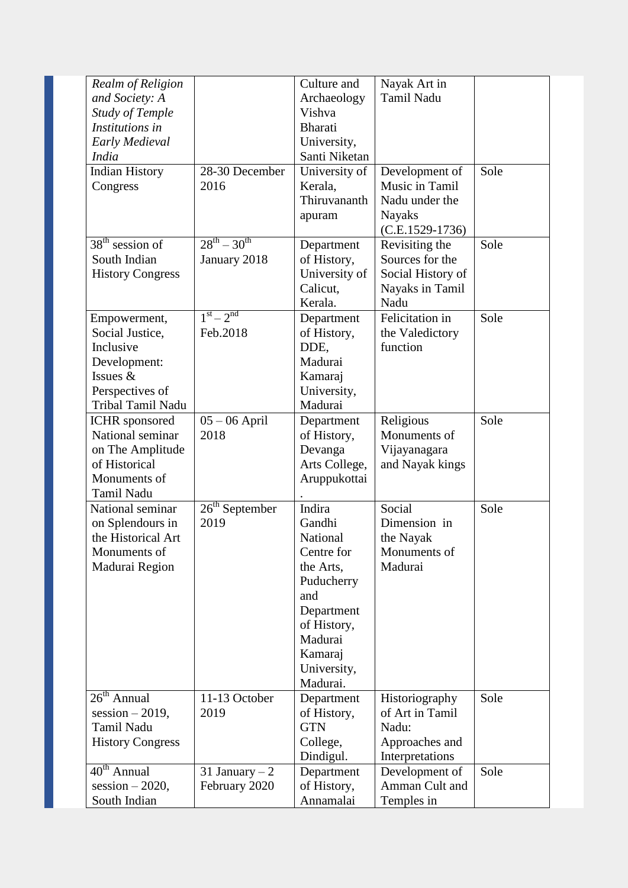| Realm of Religion       |                     | Culture and    | Nayak Art in      |      |
|-------------------------|---------------------|----------------|-------------------|------|
| and Society: A          |                     | Archaeology    | <b>Tamil Nadu</b> |      |
| <b>Study of Temple</b>  |                     | Vishva         |                   |      |
| Institutions in         |                     | <b>Bharati</b> |                   |      |
| Early Medieval          |                     | University,    |                   |      |
| <b>India</b>            |                     | Santi Niketan  |                   |      |
| <b>Indian History</b>   | 28-30 December      | University of  | Development of    | Sole |
| Congress                | 2016                | Kerala,        | Music in Tamil    |      |
|                         |                     | Thiruvananth   | Nadu under the    |      |
|                         |                     |                | <b>Nayaks</b>     |      |
|                         |                     | apuram         | $(C.E.1529-1736)$ |      |
| $38th$ session of       | $28^{th} - 30^{th}$ |                | Revisiting the    | Sole |
| South Indian            |                     | Department     | Sources for the   |      |
|                         | January 2018        | of History,    |                   |      |
| <b>History Congress</b> |                     | University of  | Social History of |      |
|                         |                     | Calicut,       | Nayaks in Tamil   |      |
|                         | $1^{st} - 2^{nd}$   | Kerala.        | Nadu              |      |
| Empowerment,            |                     | Department     | Felicitation in   | Sole |
| Social Justice,         | Feb.2018            | of History,    | the Valedictory   |      |
| Inclusive               |                     | DDE,           | function          |      |
| Development:            |                     | Madurai        |                   |      |
| Issues &                |                     | Kamaraj        |                   |      |
| Perspectives of         |                     | University,    |                   |      |
| Tribal Tamil Nadu       |                     | Madurai        |                   |      |
| <b>ICHR</b> sponsored   | $05 - 06$ April     | Department     | Religious         | Sole |
| National seminar        | 2018                | of History,    | Monuments of      |      |
| on The Amplitude        |                     | Devanga        | Vijayanagara      |      |
| of Historical           |                     | Arts College,  | and Nayak kings   |      |
| Monuments of            |                     | Aruppukottai   |                   |      |
| Tamil Nadu              |                     |                |                   |      |
| National seminar        | $26th$ September    | Indira         | Social            | Sole |
| on Splendours in        | 2019                | Gandhi         | Dimension in      |      |
| the Historical Art      |                     | National       | the Nayak         |      |
| Monuments of            |                     | Centre for     | Monuments of      |      |
| Madurai Region          |                     | the Arts,      | Madurai           |      |
|                         |                     | Puducherry     |                   |      |
|                         |                     | and            |                   |      |
|                         |                     | Department     |                   |      |
|                         |                     | of History,    |                   |      |
|                         |                     | Madurai        |                   |      |
|                         |                     | Kamaraj        |                   |      |
|                         |                     | University,    |                   |      |
|                         |                     | Madurai.       |                   |      |
| $26th$ Annual           | 11-13 October       | Department     | Historiography    | Sole |
| session $-2019$ ,       | 2019                | of History,    | of Art in Tamil   |      |
| Tamil Nadu              |                     | <b>GTN</b>     | Nadu:             |      |
| <b>History Congress</b> |                     | College,       | Approaches and    |      |
|                         |                     | Dindigul.      | Interpretations   |      |
| $40th$ Annual           | 31 January $-2$     | Department     | Development of    | Sole |
| $session - 2020,$       | February 2020       | of History,    | Amman Cult and    |      |
| South Indian            |                     | Annamalai      |                   |      |
|                         |                     |                | Temples in        |      |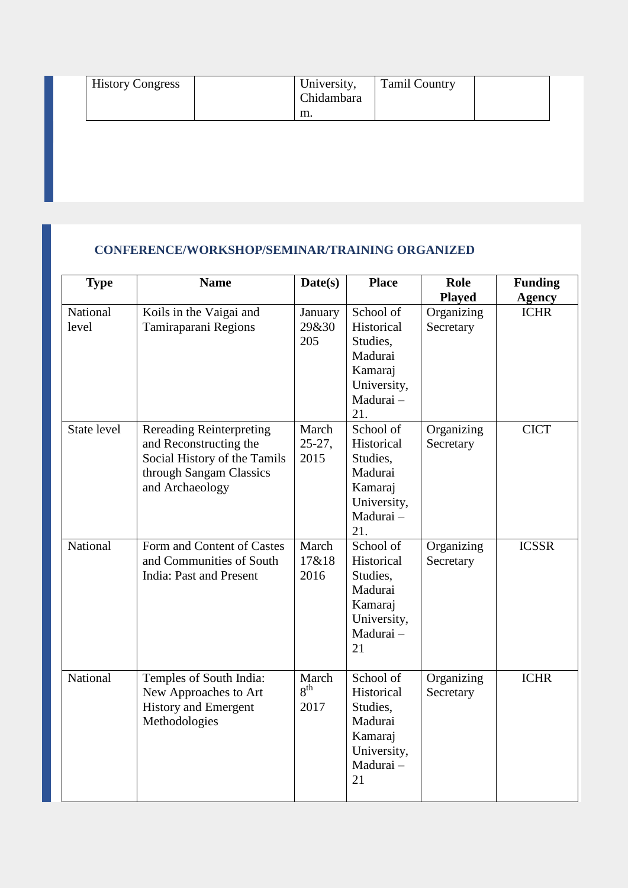| <b>History Congress</b> | University,<br>Chidambara<br>m. | <b>Tamil Country</b> |  |
|-------------------------|---------------------------------|----------------------|--|
|                         |                                 |                      |  |
|                         |                                 |                      |  |
|                         |                                 |                      |  |

## **CONFERENCE/WORKSHOP/SEMINAR/TRAINING ORGANIZED**

| <b>Type</b>       | <b>Name</b>                                                                                                                             | Date(s)                          | <b>Place</b>                                                                                 | <b>Role</b><br><b>Played</b> | <b>Funding</b><br><b>Agency</b> |
|-------------------|-----------------------------------------------------------------------------------------------------------------------------------------|----------------------------------|----------------------------------------------------------------------------------------------|------------------------------|---------------------------------|
| National<br>level | Koils in the Vaigai and<br>Tamiraparani Regions                                                                                         | January<br>29&30<br>205          | School of<br>Historical<br>Studies,<br>Madurai<br>Kamaraj<br>University,<br>Madurai-<br>21.  | Organizing<br>Secretary      | <b>ICHR</b>                     |
| State level       | <b>Rereading Reinterpreting</b><br>and Reconstructing the<br>Social History of the Tamils<br>through Sangam Classics<br>and Archaeology | March<br>$25-27,$<br>2015        | School of<br>Historical<br>Studies,<br>Madurai<br>Kamaraj<br>University,<br>Madurai -<br>21. | Organizing<br>Secretary      | <b>CICT</b>                     |
| National          | Form and Content of Castes<br>and Communities of South<br><b>India: Past and Present</b>                                                | March<br>17&18<br>2016           | School of<br>Historical<br>Studies,<br>Madurai<br>Kamaraj<br>University,<br>Madurai-<br>21   | Organizing<br>Secretary      | <b>ICSSR</b>                    |
| National          | Temples of South India:<br>New Approaches to Art<br><b>History and Emergent</b><br>Methodologies                                        | March<br>8 <sup>th</sup><br>2017 | School of<br>Historical<br>Studies,<br>Madurai<br>Kamaraj<br>University,<br>Madurai-<br>21   | Organizing<br>Secretary      | <b>ICHR</b>                     |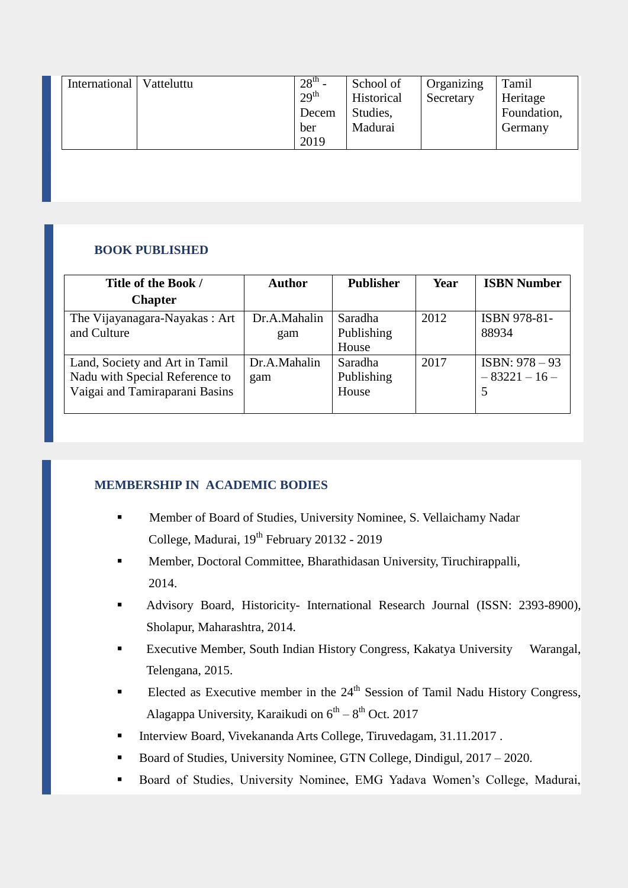| Foundation,<br>Studies,<br>Decem<br>Madurai<br>Germany<br>ber<br>2019 |
|-----------------------------------------------------------------------|
|-----------------------------------------------------------------------|

## **BOOK PUBLISHED**

| Title of the Book /            | <b>Author</b> | <b>Publisher</b> | Year | <b>ISBN Number</b> |
|--------------------------------|---------------|------------------|------|--------------------|
| <b>Chapter</b>                 |               |                  |      |                    |
| The Vijayanagara-Nayakas: Art  | Dr.A.Mahalin  | Saradha          | 2012 | ISBN 978-81-       |
| and Culture                    | gam           | Publishing       |      | 88934              |
|                                |               | House            |      |                    |
| Land, Society and Art in Tamil | Dr.A.Mahalin  | Saradha          | 2017 | ISBN: $978 - 93$   |
| Nadu with Special Reference to | gam           | Publishing       |      | $-83221-16-$       |
| Vaigai and Tamiraparani Basins |               | House            |      |                    |
|                                |               |                  |      |                    |

#### **MEMBERSHIP IN ACADEMIC BODIES**

- Member of Board of Studies, University Nominee, S. Vellaichamy Nadar College, Madurai, 19<sup>th</sup> February 20132 - 2019
- Member, Doctoral Committee, Bharathidasan University, Tiruchirappalli, 2014.
- Advisory Board, Historicity- International Research Journal (ISSN: 2393-8900), Sholapur, Maharashtra, 2014.
- Executive Member, South Indian History Congress, Kakatya University Warangal, Telengana, 2015.
- Elected as Executive member in the  $24<sup>th</sup>$  Session of Tamil Nadu History Congress, Alagappa University, Karaikudi on  $6^{th} - 8^{th}$  Oct. 2017
- Interview Board, Vivekananda Arts College, Tiruvedagam, 31.11.2017 .
- Board of Studies, University Nominee, GTN College, Dindigul, 2017 2020.
- Board of Studies, University Nominee, EMG Yadava Women's College, Madurai,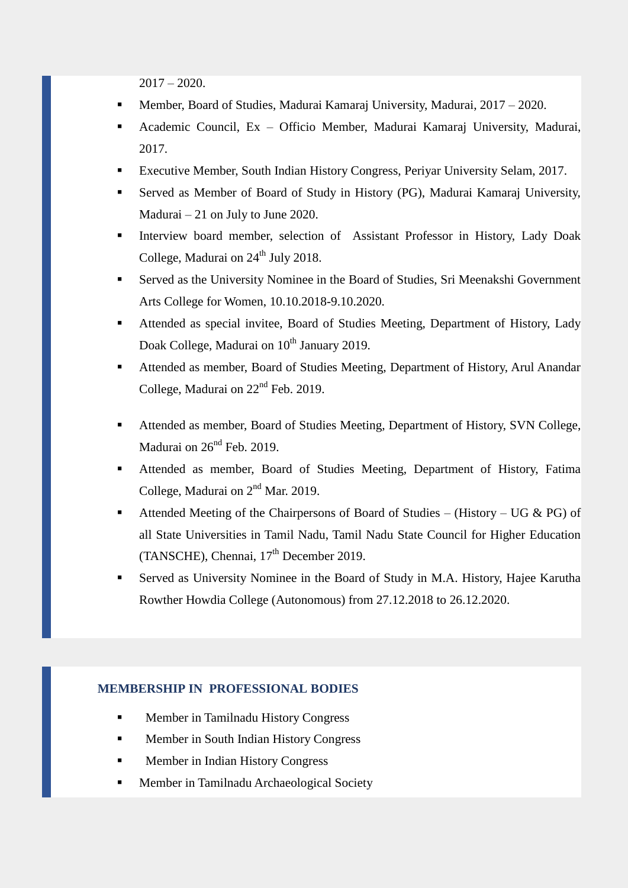$2017 - 2020$ .

- Member, Board of Studies, Madurai Kamaraj University, Madurai, 2017 2020.
- Academic Council, Ex Officio Member, Madurai Kamaraj University, Madurai, 2017.
- Executive Member, South Indian History Congress, Periyar University Selam, 2017.
- Served as Member of Board of Study in History (PG), Madurai Kamaraj University, Madurai – 21 on July to June 2020.
- Interview board member, selection of Assistant Professor in History, Lady Doak College, Madurai on  $24<sup>th</sup>$  July 2018.
- Served as the University Nominee in the Board of Studies, Sri Meenakshi Government Arts College for Women, 10.10.2018-9.10.2020.
- Attended as special invitee, Board of Studies Meeting, Department of History, Lady Doak College, Madurai on  $10^{th}$  January 2019.
- Attended as member, Board of Studies Meeting, Department of History, Arul Anandar College, Madurai on 22nd Feb. 2019.
- Attended as member, Board of Studies Meeting, Department of History, SVN College, Madurai on  $26^{nd}$  Feb. 2019.
- Attended as member, Board of Studies Meeting, Department of History, Fatima College, Madurai on  $2<sup>nd</sup>$  Mar. 2019.
- Attended Meeting of the Chairpersons of Board of Studies (History UG & PG) of all State Universities in Tamil Nadu, Tamil Nadu State Council for Higher Education (TANSCHE), Chennai, 17<sup>th</sup> December 2019.
- Served as University Nominee in the Board of Study in M.A. History, Hajee Karutha Rowther Howdia College (Autonomous) from 27.12.2018 to 26.12.2020.

#### **MEMBERSHIP IN PROFESSIONAL BODIES**

- **Member in Tamilnadu History Congress**
- Member in South Indian History Congress
- Member in Indian History Congress
- **Member in Tamilnadu Archaeological Society**